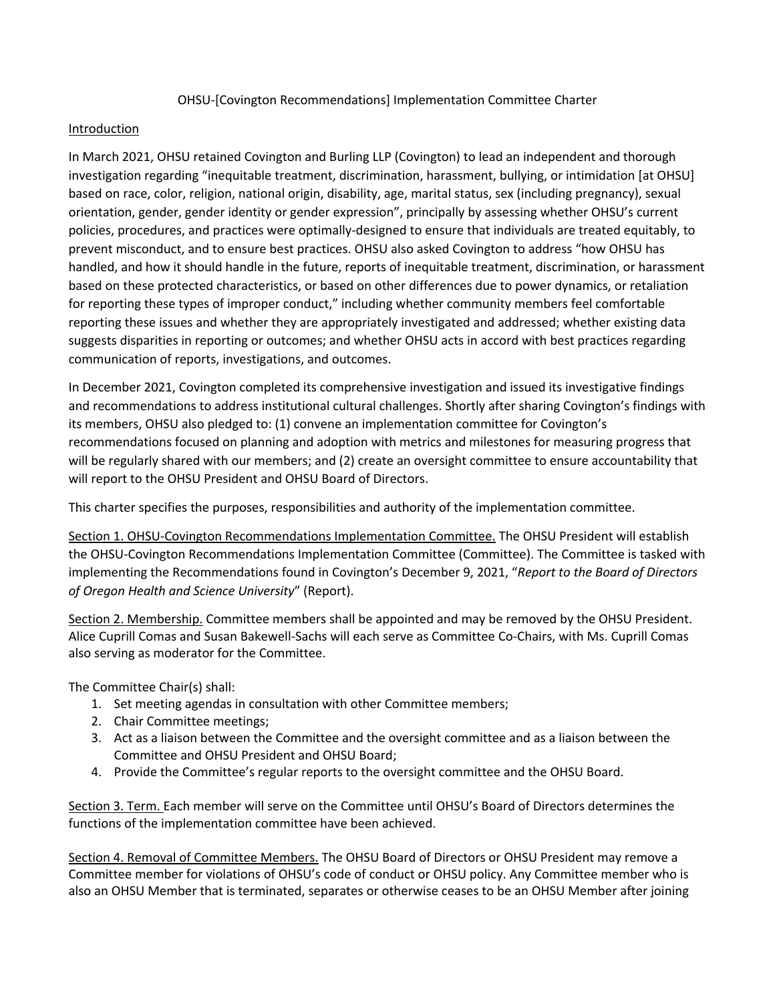OHSU-[Covington Recommendations] Implementation Committee Charter

## Introduction

In March 2021, OHSU retained Covington and Burling LLP (Covington) to lead an independent and thorough investigation regarding "inequitable treatment, discrimination, harassment, bullying, or intimidation [at OHSU] based on race, color, religion, national origin, disability, age, marital status, sex (including pregnancy), sexual orientation, gender, gender identity or gender expression", principally by assessing whether OHSU's current policies, procedures, and practices were optimally-designed to ensure that individuals are treated equitably, to prevent misconduct, and to ensure best practices. OHSU also asked Covington to address "how OHSU has handled, and how it should handle in the future, reports of inequitable treatment, discrimination, or harassment based on these protected characteristics, or based on other differences due to power dynamics, or retaliation for reporting these types of improper conduct," including whether community members feel comfortable reporting these issues and whether they are appropriately investigated and addressed; whether existing data suggests disparities in reporting or outcomes; and whether OHSU acts in accord with best practices regarding communication of reports, investigations, and outcomes.

In December 2021, Covington completed its comprehensive investigation and issued its investigative findings and recommendations to address institutional cultural challenges. Shortly after sharing Covington's findings with its members, OHSU also pledged to: (1) convene an implementation committee for Covington's recommendations focused on planning and adoption with metrics and milestones for measuring progress that will be regularly shared with our members; and (2) create an oversight committee to ensure accountability that will report to the OHSU President and OHSU Board of Directors.

This charter specifies the purposes, responsibilities and authority of the implementation committee.

Section 1. OHSU-Covington Recommendations Implementation Committee. The OHSU President will establish the OHSU-Covington Recommendations Implementation Committee (Committee). The Committee is tasked with implementing the Recommendations found in Covington's December 9, 2021, "*Report to the Board of Directors of Oregon Health and Science University*" (Report).

Section 2. Membership. Committee members shall be appointed and may be removed by the OHSU President. Alice Cuprill Comas and Susan Bakewell-Sachs will each serve as Committee Co-Chairs, with Ms. Cuprill Comas also serving as moderator for the Committee.

The Committee Chair(s) shall:

- 1. Set meeting agendas in consultation with other Committee members;
- 2. Chair Committee meetings;
- 3. Act as a liaison between the Committee and the oversight committee and as a liaison between the Committee and OHSU President and OHSU Board;
- 4. Provide the Committee's regular reports to the oversight committee and the OHSU Board.

Section 3. Term. Each member will serve on the Committee until OHSU's Board of Directors determines the functions of the implementation committee have been achieved.

Section 4. Removal of Committee Members. The OHSU Board of Directors or OHSU President may remove a Committee member for violations of OHSU's code of conduct or OHSU policy. Any Committee member who is also an OHSU Member that is terminated, separates or otherwise ceases to be an OHSU Member after joining